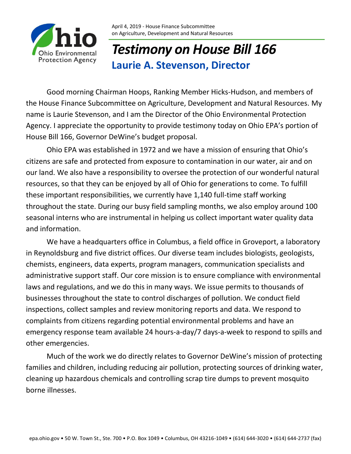

## *Testimony on House Bill 166* **Laurie A. Stevenson, Director**

Good morning Chairman Hoops, Ranking Member Hicks-Hudson, and members of the House Finance Subcommittee on Agriculture, Development and Natural Resources. My name is Laurie Stevenson, and I am the Director of the Ohio Environmental Protection Agency. I appreciate the opportunity to provide testimony today on Ohio EPA's portion of House Bill 166, Governor DeWine's budget proposal.

Ohio EPA was established in 1972 and we have a mission of ensuring that Ohio's citizens are safe and protected from exposure to contamination in our water, air and on our land. We also have a responsibility to oversee the protection of our wonderful natural resources, so that they can be enjoyed by all of Ohio for generations to come. To fulfill these important responsibilities, we currently have 1,140 full-time staff working throughout the state. During our busy field sampling months, we also employ around 100 seasonal interns who are instrumental in helping us collect important water quality data and information.

We have a headquarters office in Columbus, a field office in Groveport, a laboratory in Reynoldsburg and five district offices. Our diverse team includes biologists, geologists, chemists, engineers, data experts, program managers, communication specialists and administrative support staff. Our core mission is to ensure compliance with environmental laws and regulations, and we do this in many ways. We issue permits to thousands of businesses throughout the state to control discharges of pollution. We conduct field inspections, collect samples and review monitoring reports and data. We respond to complaints from citizens regarding potential environmental problems and have an emergency response team available 24 hours-a-day/7 days-a-week to respond to spills and other emergencies.

Much of the work we do directly relates to Governor DeWine's mission of protecting families and children, including reducing air pollution, protecting sources of drinking water, cleaning up hazardous chemicals and controlling scrap tire dumps to prevent mosquito borne illnesses.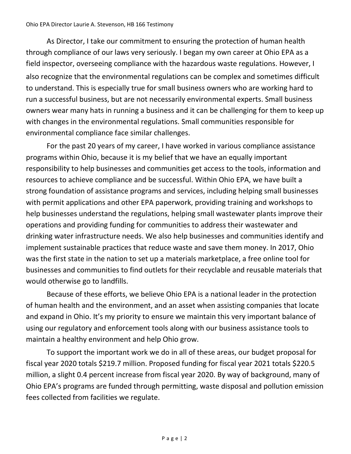As Director, I take our commitment to ensuring the protection of human health through compliance of our laws very seriously. I began my own career at Ohio EPA as a field inspector, overseeing compliance with the hazardous waste regulations. However, I also recognize that the environmental regulations can be complex and sometimes difficult to understand. This is especially true for small business owners who are working hard to run a successful business, but are not necessarily environmental experts. Small business owners wear many hats in running a business and it can be challenging for them to keep up with changes in the environmental regulations. Small communities responsible for environmental compliance face similar challenges.

For the past 20 years of my career, I have worked in various compliance assistance programs within Ohio, because it is my belief that we have an equally important responsibility to help businesses and communities get access to the tools, information and resources to achieve compliance and be successful. Within Ohio EPA, we have built a strong foundation of assistance programs and services, including helping small businesses with permit applications and other EPA paperwork, providing training and workshops to help businesses understand the regulations, helping small wastewater plants improve their operations and providing funding for communities to address their wastewater and drinking water infrastructure needs. We also help businesses and communities identify and implement sustainable practices that reduce waste and save them money. In 2017, Ohio was the first state in the nation to set up a materials marketplace, a free online tool for businesses and communities to find outlets for their recyclable and reusable materials that would otherwise go to landfills.

Because of these efforts, we believe Ohio EPA is a national leader in the protection of human health and the environment, and an asset when assisting companies that locate and expand in Ohio. It's my priority to ensure we maintain this very important balance of using our regulatory and enforcement tools along with our business assistance tools to maintain a healthy environment and help Ohio grow.

To support the important work we do in all of these areas, our budget proposal for fiscal year 2020 totals \$219.7 million. Proposed funding for fiscal year 2021 totals \$220.5 million, a slight 0.4 percent increase from fiscal year 2020. By way of background, many of Ohio EPA's programs are funded through permitting, waste disposal and pollution emission fees collected from facilities we regulate.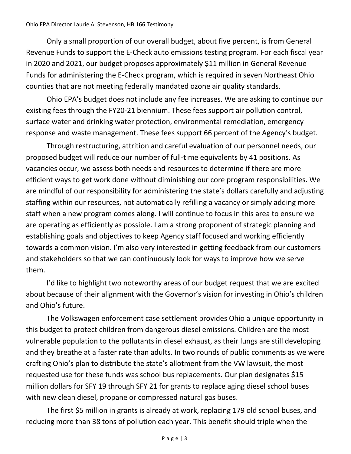## Ohio EPA Director Laurie A. Stevenson, HB 166 Testimony

Only a small proportion of our overall budget, about five percent, is from General Revenue Funds to support the E-Check auto emissions testing program. For each fiscal year in 2020 and 2021, our budget proposes approximately \$11 million in General Revenue Funds for administering the E-Check program, which is required in seven Northeast Ohio counties that are not meeting federally mandated ozone air quality standards.

Ohio EPA's budget does not include any fee increases. We are asking to continue our existing fees through the FY20-21 biennium. These fees support air pollution control, surface water and drinking water protection, environmental remediation, emergency response and waste management. These fees support 66 percent of the Agency's budget.

Through restructuring, attrition and careful evaluation of our personnel needs, our proposed budget will reduce our number of full-time equivalents by 41 positions. As vacancies occur, we assess both needs and resources to determine if there are more efficient ways to get work done without diminishing our core program responsibilities. We are mindful of our responsibility for administering the state's dollars carefully and adjusting staffing within our resources, not automatically refilling a vacancy or simply adding more staff when a new program comes along. I will continue to focus in this area to ensure we are operating as efficiently as possible. I am a strong proponent of strategic planning and establishing goals and objectives to keep Agency staff focused and working efficiently towards a common vision. I'm also very interested in getting feedback from our customers and stakeholders so that we can continuously look for ways to improve how we serve them.

I'd like to highlight two noteworthy areas of our budget request that we are excited about because of their alignment with the Governor's vision for investing in Ohio's children and Ohio's future.

The Volkswagen enforcement case settlement provides Ohio a unique opportunity in this budget to protect children from dangerous diesel emissions. Children are the most vulnerable population to the pollutants in diesel exhaust, as their lungs are still developing and they breathe at a faster rate than adults. In two rounds of public comments as we were crafting Ohio's plan to distribute the state's allotment from the VW lawsuit, the most requested use for these funds was school bus replacements. Our plan designates \$15 million dollars for SFY 19 through SFY 21 for grants to replace aging diesel school buses with new clean diesel, propane or compressed natural gas buses.

The first \$5 million in grants is already at work, replacing 179 old school buses, and reducing more than 38 tons of pollution each year. This benefit should triple when the